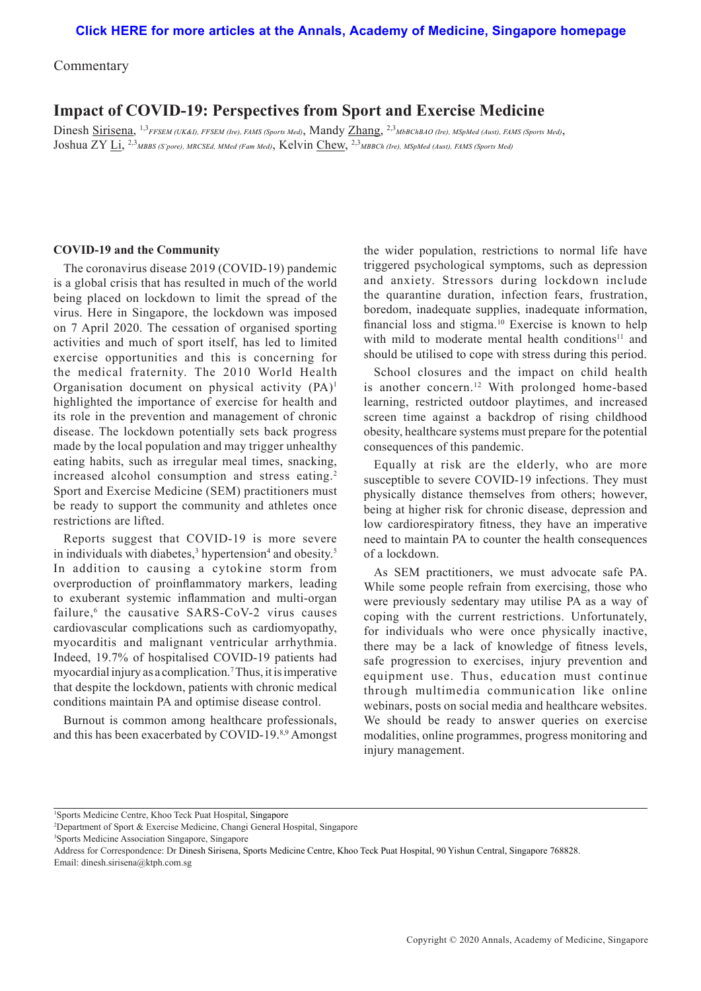Commentary

# **Impact of COVID-19: Perspectives from Sport and Exercise Medicine**

Dinesh Sirisena, 1,3*FFSEM (UK&I), FFSEM (Ire), FAMS (Sports Med)*, Mandy Zhang, 2,3*MbBChBAO (Ire), MSpMed (Aust), FAMS (Sports Med)*, Joshua ZY Li, 2,3*MBBS (S'pore), MRCSEd, MMed (Fam Med)*, Kelvin Chew, 2,3*MBBCh (Ire), MSpMed (Aust), FAMS (Sports Med)*

#### **COVID-19 and the Community**

The coronavirus disease 2019 (COVID-19) pandemic is a global crisis that has resulted in much of the world being placed on lockdown to limit the spread of the virus. Here in Singapore, the lockdown was imposed on 7 April 2020. The cessation of organised sporting activities and much of sport itself, has led to limited exercise opportunities and this is concerning for the medical fraternity. The 2010 World Health Organisation document on physical activity  $(PA)^1$ highlighted the importance of exercise for health and its role in the prevention and management of chronic disease. The lockdown potentially sets back progress made by the local population and may trigger unhealthy eating habits, such as irregular meal times, snacking, increased alcohol consumption and stress eating.<sup>2</sup> Sport and Exercise Medicine (SEM) practitioners must be ready to support the community and athletes once restrictions are lifted.

Reports suggest that COVID-19 is more severe in individuals with diabetes,<sup>3</sup> hypertension<sup>4</sup> and obesity.<sup>5</sup> In addition to causing a cytokine storm from overproduction of proinflammatory markers, leading to exuberant systemic inflammation and multi-organ failure,<sup>6</sup> the causative SARS-CoV-2 virus causes cardiovascular complications such as cardiomyopathy, myocarditis and malignant ventricular arrhythmia. Indeed, 19.7% of hospitalised COVID-19 patients had myocardial injury as a complication.7 Thus, it is imperative that despite the lockdown, patients with chronic medical conditions maintain PA and optimise disease control.

Burnout is common among healthcare professionals, and this has been exacerbated by COVID-19.8,9 Amongst

the wider population, restrictions to normal life have triggered psychological symptoms, such as depression and anxiety. Stressors during lockdown include the quarantine duration, infection fears, frustration, boredom, inadequate supplies, inadequate information, financial loss and stigma.10 Exercise is known to help with mild to moderate mental health conditions<sup>11</sup> and should be utilised to cope with stress during this period.

School closures and the impact on child health is another concern.12 With prolonged home-based learning, restricted outdoor playtimes, and increased screen time against a backdrop of rising childhood obesity, healthcare systems must prepare for the potential consequences of this pandemic.

Equally at risk are the elderly, who are more susceptible to severe COVID-19 infections. They must physically distance themselves from others; however, being at higher risk for chronic disease, depression and low cardiorespiratory fitness, they have an imperative need to maintain PA to counter the health consequences of a lockdown.

As SEM practitioners, we must advocate safe PA. While some people refrain from exercising, those who were previously sedentary may utilise PA as a way of coping with the current restrictions. Unfortunately, for individuals who were once physically inactive, there may be a lack of knowledge of fitness levels, safe progression to exercises, injury prevention and equipment use. Thus, education must continue through multimedia communication like online webinars, posts on social media and healthcare websites. We should be ready to answer queries on exercise modalities, online programmes, progress monitoring and injury management.

Address for Correspondence: Dr Dinesh Sirisena, Sports Medicine Centre, Khoo Teck Puat Hospital, 90 Yishun Central, Singapore 768828. Email: dinesh.sirisena@ktph.com.sg

<sup>1</sup> Sports Medicine Centre, Khoo Teck Puat Hospital, Singapore

<sup>2</sup> Department of Sport & Exercise Medicine, Changi General Hospital, Singapore

<sup>3</sup> Sports Medicine Association Singapore, Singapore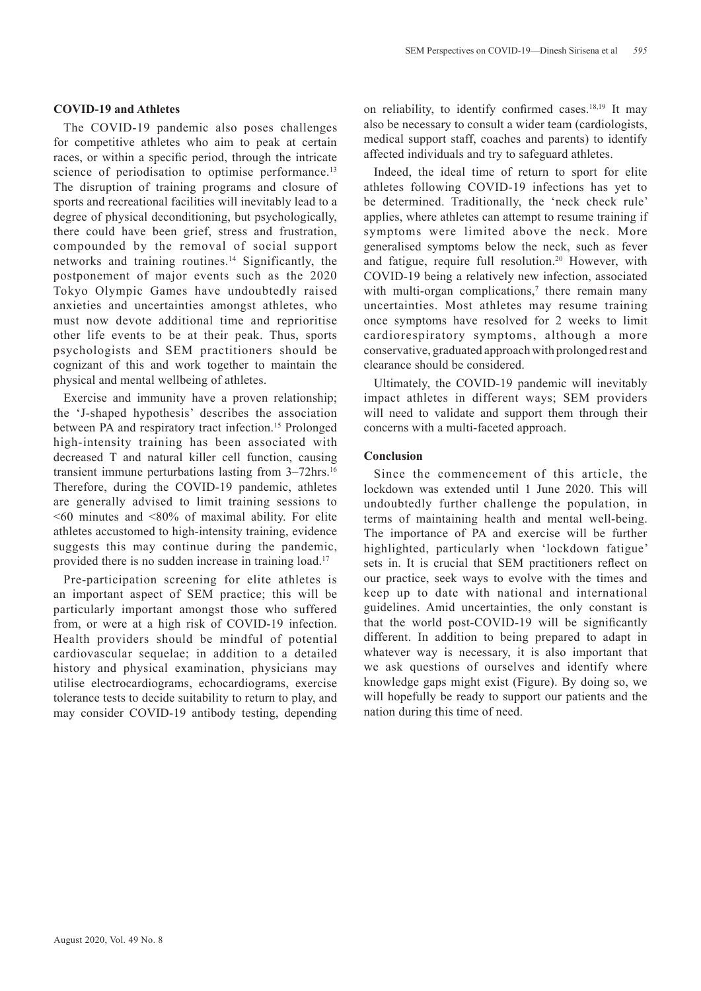### **COVID-19 and Athletes**

The COVID-19 pandemic also poses challenges for competitive athletes who aim to peak at certain races, or within a specific period, through the intricate science of periodisation to optimise performance.<sup>13</sup> The disruption of training programs and closure of sports and recreational facilities will inevitably lead to a degree of physical deconditioning, but psychologically, there could have been grief, stress and frustration, compounded by the removal of social support networks and training routines.14 Significantly, the postponement of major events such as the 2020 Tokyo Olympic Games have undoubtedly raised anxieties and uncertainties amongst athletes, who must now devote additional time and reprioritise other life events to be at their peak. Thus, sports psychologists and SEM practitioners should be cognizant of this and work together to maintain the physical and mental wellbeing of athletes.

Exercise and immunity have a proven relationship; the 'J-shaped hypothesis' describes the association between PA and respiratory tract infection.<sup>15</sup> Prolonged high-intensity training has been associated with decreased T and natural killer cell function, causing transient immune perturbations lasting from 3–72hrs.16 Therefore, during the COVID-19 pandemic, athletes are generally advised to limit training sessions to  $\leq 60$  minutes and  $\leq 80\%$  of maximal ability. For elite athletes accustomed to high-intensity training, evidence suggests this may continue during the pandemic, provided there is no sudden increase in training load.17

Pre-participation screening for elite athletes is an important aspect of SEM practice; this will be particularly important amongst those who suffered from, or were at a high risk of COVID-19 infection. Health providers should be mindful of potential cardiovascular sequelae; in addition to a detailed history and physical examination, physicians may utilise electrocardiograms, echocardiograms, exercise tolerance tests to decide suitability to return to play, and may consider COVID-19 antibody testing, depending

on reliability, to identify confirmed cases.<sup>18,19</sup> It may also be necessary to consult a wider team (cardiologists, medical support staff, coaches and parents) to identify affected individuals and try to safeguard athletes.

Indeed, the ideal time of return to sport for elite athletes following COVID-19 infections has yet to be determined. Traditionally, the 'neck check rule' applies, where athletes can attempt to resume training if symptoms were limited above the neck. More generalised symptoms below the neck, such as fever and fatigue, require full resolution.<sup>20</sup> However, with COVID-19 being a relatively new infection, associated with multi-organ complications, $\alpha$  there remain many uncertainties. Most athletes may resume training once symptoms have resolved for 2 weeks to limit cardiorespiratory symptoms, although a more conservative, graduated approach with prolonged rest and clearance should be considered.

Ultimately, the COVID-19 pandemic will inevitably impact athletes in different ways; SEM providers will need to validate and support them through their concerns with a multi-faceted approach.

## **Conclusion**

Since the commencement of this article, the lockdown was extended until 1 June 2020. This will undoubtedly further challenge the population, in terms of maintaining health and mental well-being. The importance of PA and exercise will be further highlighted, particularly when 'lockdown fatigue' sets in. It is crucial that SEM practitioners reflect on our practice, seek ways to evolve with the times and keep up to date with national and international guidelines. Amid uncertainties, the only constant is that the world post-COVID-19 will be significantly different. In addition to being prepared to adapt in whatever way is necessary, it is also important that we ask questions of ourselves and identify where knowledge gaps might exist (Figure). By doing so, we will hopefully be ready to support our patients and the nation during this time of need.